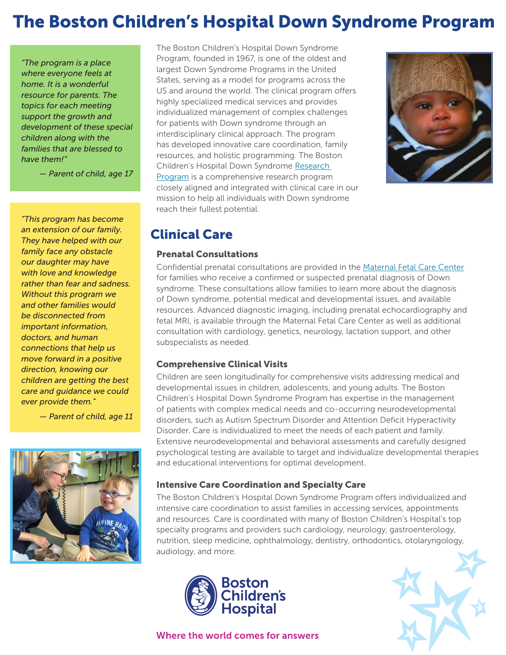# The Boston Children's Hospital Down Syndrome Program

*"The program is a place where everyone feels at home. It is a wonderful resource for parents. The topics for each meeting support the growth and development of these special children along with the families that are blessed to have them!"*

*— Parent of child, age 17*

*"This program has become an extension of our family. They have helped with our family face any obstacle our daughter may have with love and knowledge rather than fear and sadness. Without this program we and other families would be disconnected from important information, doctors, and human connections that help us move forward in a positive direction, knowing our children are getting the best care and guidance we could ever provide them."*

*— Parent of child, age 11*



The Boston Children's Hospital Down Syndrome Program, founded in 1967, is one of the oldest and largest Down Syndrome Programs in the United States, serving as a model for programs across the US and around the world. The clinical program offers highly specialized medical services and provides individualized management of complex challenges for patients with Down syndrome through an interdisciplinary clinical approach. The program has developed innovative care coordination, family resources, and holistic programming. The Boston Children's Hospital Down Syndrome [Research](https://www.childrenshospital.org/centers-and-services/programs/a-_-e/down-syndrome-program/research-and-innovation)  [Program](https://www.childrenshospital.org/centers-and-services/programs/a-_-e/down-syndrome-program/research-and-innovation) is a comprehensive research program closely aligned and integrated with clinical care in our mission to help all individuals with Down syndrome reach their fullest potential.



### Clinical Care

#### Prenatal Consultations

Confidential prenatal consultations are provided in the [Maternal Fetal Care Center](http://www.childrenshospital.org/centers-and-services/programs/f-_-n/maternal-fetal-care-center) for families who receive a confirmed or suspected prenatal diagnosis of Down syndrome. These consultations allow families to learn more about the diagnosis of Down syndrome, potential medical and developmental issues, and available resources. Advanced diagnostic imaging, including prenatal echocardiography and fetal MRI, is available through the Maternal Fetal Care Center as well as additional consultation with cardiology, genetics, neurology, lactation support, and other subspecialists as needed.

#### Comprehensive Clinical Visits

Children are seen longitudinally for comprehensive visits addressing medical and developmental issues in children, adolescents, and young adults. The Boston Children's Hospital Down Syndrome Program has expertise in the management of patients with complex medical needs and co-occurring neurodevelopmental disorders, such as Autism Spectrum Disorder and Attention Deficit Hyperactivity Disorder. Care is individualized to meet the needs of each patient and family. Extensive neurodevelopmental and behavioral assessments and carefully designed psychological testing are available to target and individualize developmental therapies and educational interventions for optimal development.

#### Intensive Care Coordination and Specialty Care

The Boston Children's Hospital Down Syndrome Program offers individualized and intensive care coordination to assist families in accessing services, appointments and resources. Care is coordinated with many of Boston Children's Hospital's top specialty programs and providers such cardiology, neurology, gastroenterology, nutrition, sleep medicine, ophthalmology, dentistry, orthodontics, otolaryngology, audiology, and more.





Where the world comes for answers